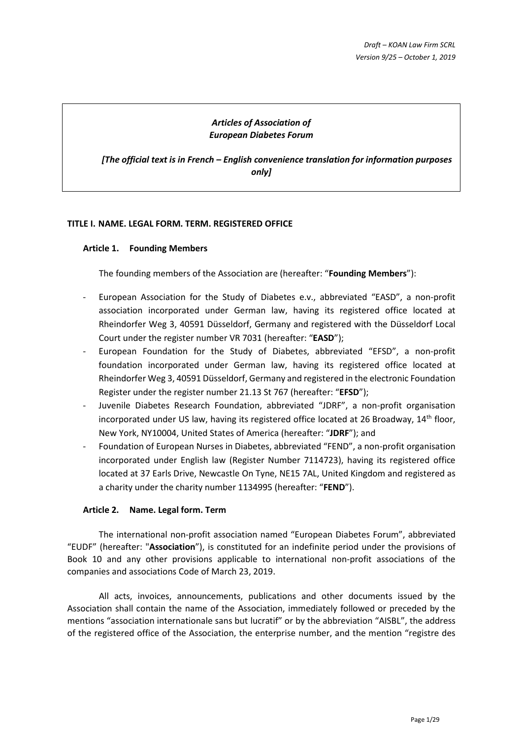# *Articles of Association of European Diabetes Forum*

*[The official text is in French – English convenience translation for information purposes only]*

## **TITLE I. NAME. LEGAL FORM. TERM. REGISTERED OFFICE**

#### **Article 1. Founding Members**

The founding members of the Association are (hereafter: "**Founding Members**"):

- European Association for the Study of Diabetes e.v., abbreviated "EASD", a non-profit association incorporated under German law, having its registered office located at Rheindorfer Weg 3, 40591 Düsseldorf, Germany and registered with the Düsseldorf Local Court under the register number VR 7031 (hereafter: "**EASD**");
- European Foundation for the Study of Diabetes, abbreviated "EFSD", a non-profit foundation incorporated under German law, having its registered office located at Rheindorfer Weg 3, 40591 Düsseldorf, Germany and registered in the electronic Foundation Register under the register number 21.13 St 767 (hereafter: "**EFSD**");
- Juvenile Diabetes Research Foundation, abbreviated "JDRF", a non-profit organisation incorporated under US law, having its registered office located at 26 Broadway,  $14<sup>th</sup>$  floor, New York, NY10004, United States of America (hereafter: "**JDRF**"); and
- Foundation of European Nurses in Diabetes, abbreviated "FEND", a non-profit organisation incorporated under English law (Register Number 7114723), having its registered office located at 37 Earls Drive, Newcastle On Tyne, NE15 7AL, United Kingdom and registered as a charity under the charity number 1134995 (hereafter: "**FEND**").

## **Article 2. Name. Legal form. Term**

The international non-profit association named "European Diabetes Forum", abbreviated "EUDF" (hereafter: "**Association**"), is constituted for an indefinite period under the provisions of Book 10 and any other provisions applicable to international non-profit associations of the companies and associations Code of March 23, 2019.

All acts, invoices, announcements, publications and other documents issued by the Association shall contain the name of the Association, immediately followed or preceded by the mentions "association internationale sans but lucratif" or by the abbreviation "AISBL", the address of the registered office of the Association, the enterprise number, and the mention "registre des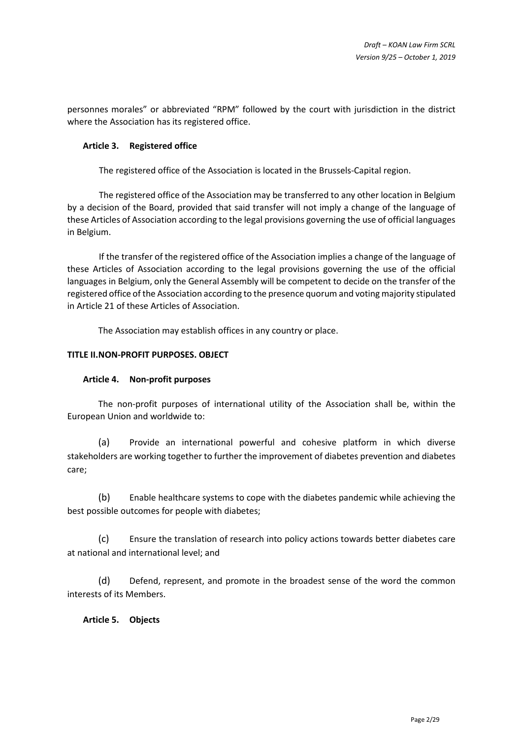personnes morales" or abbreviated "RPM" followed by the court with jurisdiction in the district where the Association has its registered office.

## **Article 3. Registered office**

The registered office of the Association is located in the Brussels-Capital region.

The registered office of the Association may be transferred to any other location in Belgium by a decision of the Board, provided that said transfer will not imply a change of the language of these Articles of Association according to the legal provisions governing the use of official languages in Belgium.

If the transfer of the registered office of the Association implies a change of the language of these Articles of Association according to the legal provisions governing the use of the official languages in Belgium, only the General Assembly will be competent to decide on the transfer of the registered office of the Association according to the presence quorum and voting majority stipulated in [Article 21](#page-10-0) of these Articles of Association.

The Association may establish offices in any country or place.

# **TITLE II.NON-PROFIT PURPOSES. OBJECT**

## **Article 4. Non-profit purposes**

The non-profit purposes of international utility of the Association shall be, within the European Union and worldwide to:

(a) Provide an international powerful and cohesive platform in which diverse stakeholders are working together to further the improvement of diabetes prevention and diabetes care;

(b) Enable healthcare systems to cope with the diabetes pandemic while achieving the best possible outcomes for people with diabetes;

(c) Ensure the translation of research into policy actions towards better diabetes care at national and international level; and

(d) Defend, represent, and promote in the broadest sense of the word the common interests of its Members.

# **Article 5. Objects**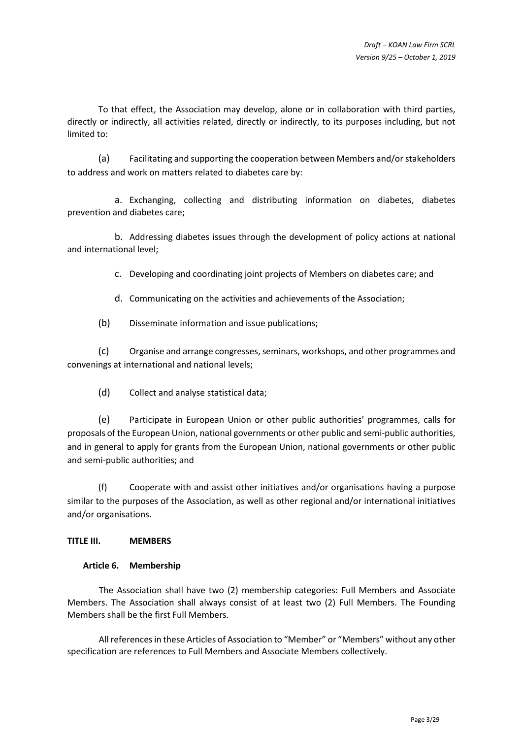To that effect, the Association may develop, alone or in collaboration with third parties, directly or indirectly, all activities related, directly or indirectly, to its purposes including, but not limited to:

(a) Facilitating and supporting the cooperation between Members and/or stakeholders to address and work on matters related to diabetes care by:

a. Exchanging, collecting and distributing information on diabetes, diabetes prevention and diabetes care;

b. Addressing diabetes issues through the development of policy actions at national and international level;

c. Developing and coordinating joint projects of Members on diabetes care; and

d. Communicating on the activities and achievements of the Association;

(b) Disseminate information and issue publications;

(c) Organise and arrange congresses, seminars, workshops, and other programmes and convenings at international and national levels;

(d) Collect and analyse statistical data;

(e) Participate in European Union or other public authorities' programmes, calls for proposals of the European Union, national governments or other public and semi-public authorities, and in general to apply for grants from the European Union, national governments or other public and semi-public authorities; and

Cooperate with and assist other initiatives and/or organisations having a purpose similar to the purposes of the Association, as well as other regional and/or international initiatives and/or organisations.

## **TITLE III. MEMBERS**

## **Article 6. Membership**

The Association shall have two (2) membership categories: Full Members and Associate Members. The Association shall always consist of at least two (2) Full Members. The Founding Members shall be the first Full Members.

All references in these Articles of Association to "Member" or "Members" without any other specification are references to Full Members and Associate Members collectively.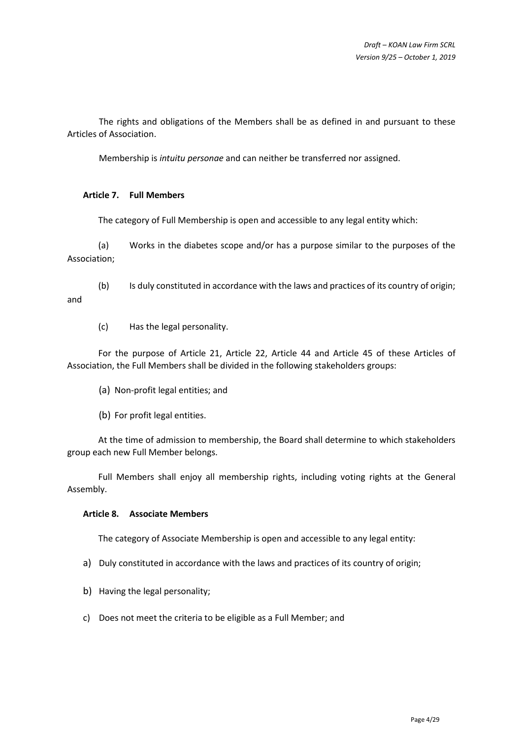The rights and obligations of the Members shall be as defined in and pursuant to these Articles of Association.

Membership is *intuitu personae* and can neither be transferred nor assigned.

# <span id="page-3-0"></span>**Article 7. Full Members**

and

The category of Full Membership is open and accessible to any legal entity which:

(a) Works in the diabetes scope and/or has a purpose similar to the purposes of the Association;

(b) Is duly constituted in accordance with the laws and practices of its country of origin;

(c) Has the legal personality.

For the purpose of [Article 21,](#page-10-0) [Article 22,](#page-11-0) [Article 44](#page-25-0) and [Article 45](#page-26-0) of these Articles of Association, the Full Members shall be divided in the following stakeholders groups:

- (a) Non-profit legal entities; and
- (b) For profit legal entities.

At the time of admission to membership, the Board shall determine to which stakeholders group each new Full Member belongs.

Full Members shall enjoy all membership rights, including voting rights at the General Assembly.

## <span id="page-3-1"></span>**Article 8. Associate Members**

The category of Associate Membership is open and accessible to any legal entity:

- a) Duly constituted in accordance with the laws and practices of its country of origin;
- b) Having the legal personality;
- c) Does not meet the criteria to be eligible as a Full Member; and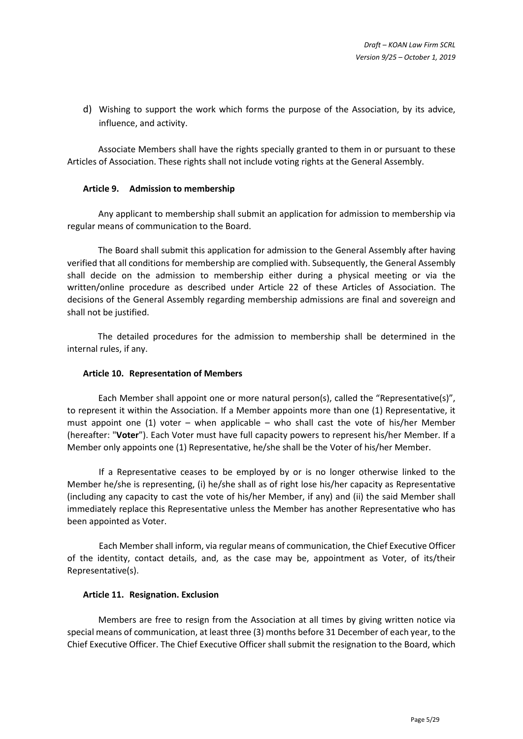d) Wishing to support the work which forms the purpose of the Association, by its advice, influence, and activity.

Associate Members shall have the rights specially granted to them in or pursuant to these Articles of Association. These rights shall not include voting rights at the General Assembly.

#### **Article 9. Admission to membership**

Any applicant to membership shall submit an application for admission to membership via regular means of communication to the Board.

The Board shall submit this application for admission to the General Assembly after having verified that all conditions for membership are complied with. Subsequently, the General Assembly shall decide on the admission to membership either during a physical meeting or via the written/online procedure as described under [Article 22](#page-11-0) of these Articles of Association. The decisions of the General Assembly regarding membership admissions are final and sovereign and shall not be justified.

The detailed procedures for the admission to membership shall be determined in the internal rules, if any.

#### <span id="page-4-1"></span>**Article 10. Representation of Members**

Each Member shall appoint one or more natural person(s), called the "Representative(s)", to represent it within the Association. If a Member appoints more than one (1) Representative, it must appoint one  $(1)$  voter – when applicable – who shall cast the vote of his/her Member (hereafter: "**Voter**"). Each Voter must have full capacity powers to represent his/her Member. If a Member only appoints one (1) Representative, he/she shall be the Voter of his/her Member.

If a Representative ceases to be employed by or is no longer otherwise linked to the Member he/she is representing, (i) he/she shall as of right lose his/her capacity as Representative (including any capacity to cast the vote of his/her Member, if any) and (ii) the said Member shall immediately replace this Representative unless the Member has another Representative who has been appointed as Voter.

Each Member shall inform, via regular means of communication, the Chief Executive Officer of the identity, contact details, and, as the case may be, appointment as Voter, of its/their Representative(s).

#### <span id="page-4-0"></span>**Article 11. Resignation. Exclusion**

Members are free to resign from the Association at all times by giving written notice via special means of communication, at least three (3) months before 31 December of each year, to the Chief Executive Officer. The Chief Executive Officer shall submit the resignation to the Board, which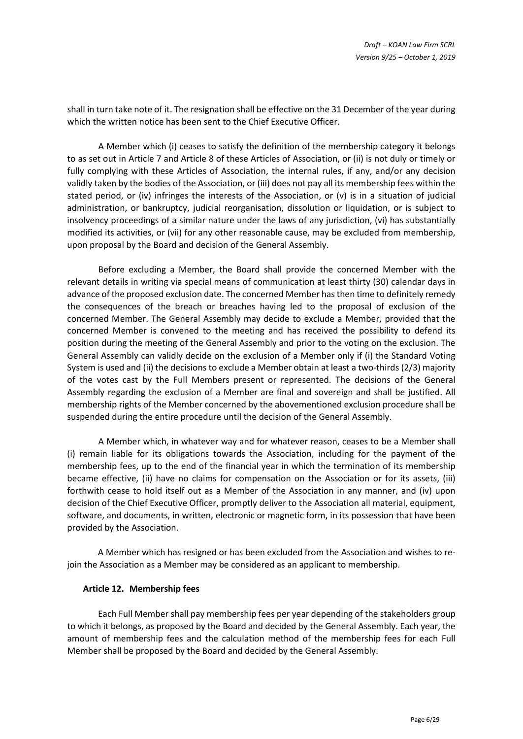shall in turn take note of it. The resignation shall be effective on the 31 December of the year during which the written notice has been sent to the Chief Executive Officer.

A Member which (i) ceases to satisfy the definition of the membership category it belongs to as set out in [Article 7](#page-3-0) and [Article 8](#page-3-1) of these Articles of Association, or (ii) is not duly or timely or fully complying with these Articles of Association, the internal rules, if any, and/or any decision validly taken by the bodies of the Association, or (iii) does not pay all its membership fees within the stated period, or (iv) infringes the interests of the Association, or (v) is in a situation of judicial administration, or bankruptcy, judicial reorganisation, dissolution or liquidation, or is subject to insolvency proceedings of a similar nature under the laws of any jurisdiction, (vi) has substantially modified its activities, or (vii) for any other reasonable cause, may be excluded from membership, upon proposal by the Board and decision of the General Assembly.

Before excluding a Member, the Board shall provide the concerned Member with the relevant details in writing via special means of communication at least thirty (30) calendar days in advance of the proposed exclusion date. The concerned Member has then time to definitely remedy the consequences of the breach or breaches having led to the proposal of exclusion of the concerned Member. The General Assembly may decide to exclude a Member, provided that the concerned Member is convened to the meeting and has received the possibility to defend its position during the meeting of the General Assembly and prior to the voting on the exclusion. The General Assembly can validly decide on the exclusion of a Member only if (i) the Standard Voting System is used and (ii) the decisions to exclude a Member obtain at least a two-thirds (2/3) majority of the votes cast by the Full Members present or represented. The decisions of the General Assembly regarding the exclusion of a Member are final and sovereign and shall be justified. All membership rights of the Member concerned by the abovementioned exclusion procedure shall be suspended during the entire procedure until the decision of the General Assembly.

A Member which, in whatever way and for whatever reason, ceases to be a Member shall (i) remain liable for its obligations towards the Association, including for the payment of the membership fees, up to the end of the financial year in which the termination of its membership became effective, (ii) have no claims for compensation on the Association or for its assets, (iii) forthwith cease to hold itself out as a Member of the Association in any manner, and (iv) upon decision of the Chief Executive Officer, promptly deliver to the Association all material, equipment, software, and documents, in written, electronic or magnetic form, in its possession that have been provided by the Association.

A Member which has resigned or has been excluded from the Association and wishes to rejoin the Association as a Member may be considered as an applicant to membership.

#### **Article 12. Membership fees**

Each Full Member shall pay membership fees per year depending of the stakeholders group to which it belongs, as proposed by the Board and decided by the General Assembly. Each year, the amount of membership fees and the calculation method of the membership fees for each Full Member shall be proposed by the Board and decided by the General Assembly.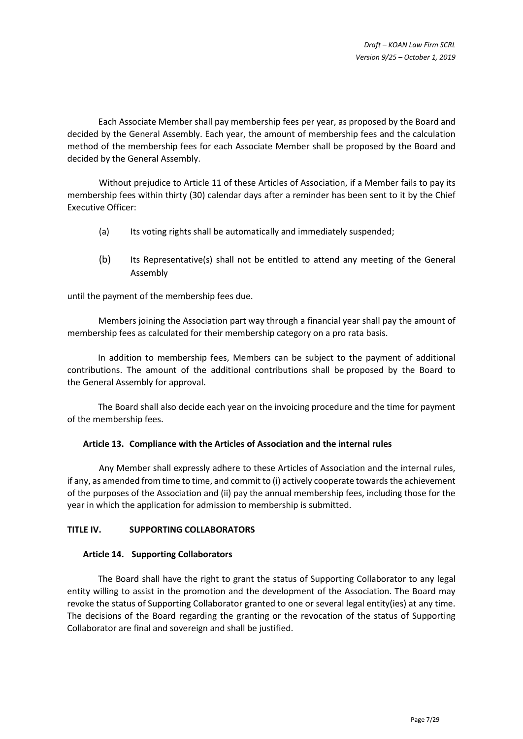Each Associate Member shall pay membership fees per year, as proposed by the Board and decided by the General Assembly. Each year, the amount of membership fees and the calculation method of the membership fees for each Associate Member shall be proposed by the Board and decided by the General Assembly.

Without prejudice to [Article 11](#page-4-0) of these Articles of Association, if a Member fails to pay its membership fees within thirty (30) calendar days after a reminder has been sent to it by the Chief Executive Officer:

- (a) Its voting rights shall be automatically and immediately suspended;
- (b) Its Representative(s) shall not be entitled to attend any meeting of the General Assembly

until the payment of the membership fees due.

Members joining the Association part way through a financial year shall pay the amount of membership fees as calculated for their membership category on a pro rata basis.

In addition to membership fees, Members can be subject to the payment of additional contributions. The amount of the additional contributions shall be proposed by the Board to the General Assembly for approval.

The Board shall also decide each year on the invoicing procedure and the time for payment of the membership fees.

## **Article 13. Compliance with the Articles of Association and the internal rules**

Any Member shall expressly adhere to these Articles of Association and the internal rules, if any, as amended from time to time, and commit to (i) actively cooperate towards the achievement of the purposes of the Association and (ii) pay the annual membership fees, including those for the year in which the application for admission to membership is submitted.

## **TITLE IV. SUPPORTING COLLABORATORS**

## **Article 14. Supporting Collaborators**

The Board shall have the right to grant the status of Supporting Collaborator to any legal entity willing to assist in the promotion and the development of the Association. The Board may revoke the status of Supporting Collaborator granted to one or several legal entity(ies) at any time. The decisions of the Board regarding the granting or the revocation of the status of Supporting Collaborator are final and sovereign and shall be justified.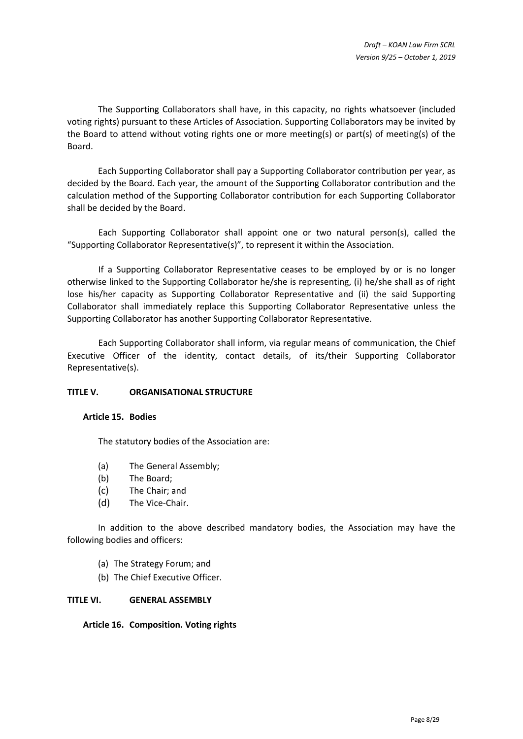The Supporting Collaborators shall have, in this capacity, no rights whatsoever (included voting rights) pursuant to these Articles of Association. Supporting Collaborators may be invited by the Board to attend without voting rights one or more meeting(s) or part(s) of meeting(s) of the Board.

Each Supporting Collaborator shall pay a Supporting Collaborator contribution per year, as decided by the Board. Each year, the amount of the Supporting Collaborator contribution and the calculation method of the Supporting Collaborator contribution for each Supporting Collaborator shall be decided by the Board.

Each Supporting Collaborator shall appoint one or two natural person(s), called the "Supporting Collaborator Representative(s)", to represent it within the Association.

If a Supporting Collaborator Representative ceases to be employed by or is no longer otherwise linked to the Supporting Collaborator he/she is representing, (i) he/she shall as of right lose his/her capacity as Supporting Collaborator Representative and (ii) the said Supporting Collaborator shall immediately replace this Supporting Collaborator Representative unless the Supporting Collaborator has another Supporting Collaborator Representative.

Each Supporting Collaborator shall inform, via regular means of communication, the Chief Executive Officer of the identity, contact details, of its/their Supporting Collaborator Representative(s).

## **TITLE V. ORGANISATIONAL STRUCTURE**

## **Article 15. Bodies**

The statutory bodies of the Association are:

- (a) The General Assembly;
- (b) The Board;
- (c) The Chair; and
- (d) The Vice-Chair.

In addition to the above described mandatory bodies, the Association may have the following bodies and officers:

- (a) The Strategy Forum; and
- (b) The Chief Executive Officer.

#### **TITLE VI. GENERAL ASSEMBLY**

**Article 16. Composition. Voting rights**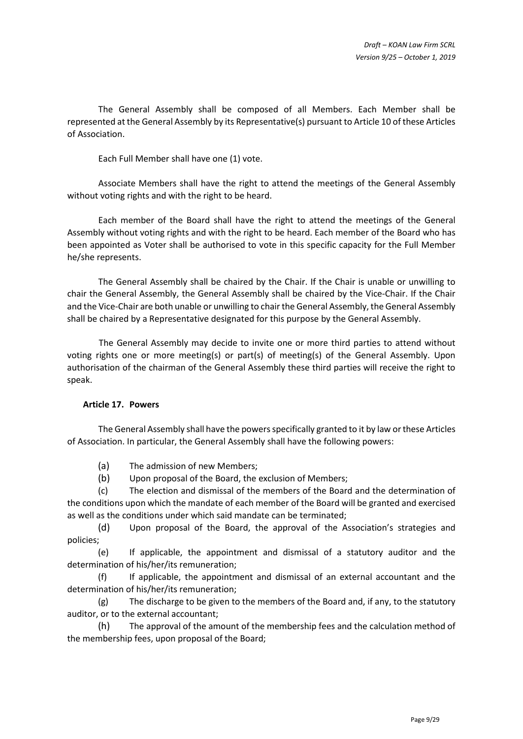The General Assembly shall be composed of all Members. Each Member shall be represented at the General Assembly by its Representative(s) pursuant to [Article 10](#page-4-1) of these Articles of Association.

Each Full Member shall have one (1) vote.

Associate Members shall have the right to attend the meetings of the General Assembly without voting rights and with the right to be heard.

Each member of the Board shall have the right to attend the meetings of the General Assembly without voting rights and with the right to be heard. Each member of the Board who has been appointed as Voter shall be authorised to vote in this specific capacity for the Full Member he/she represents.

The General Assembly shall be chaired by the Chair. If the Chair is unable or unwilling to chair the General Assembly, the General Assembly shall be chaired by the Vice-Chair. If the Chair and the Vice-Chair are both unable or unwilling to chair the General Assembly, the General Assembly shall be chaired by a Representative designated for this purpose by the General Assembly.

The General Assembly may decide to invite one or more third parties to attend without voting rights one or more meeting(s) or part(s) of meeting(s) of the General Assembly. Upon authorisation of the chairman of the General Assembly these third parties will receive the right to speak.

## **Article 17. Powers**

The General Assembly shall have the powers specifically granted to it by law or these Articles of Association. In particular, the General Assembly shall have the following powers:

- (a) The admission of new Members;
- (b) Upon proposal of the Board, the exclusion of Members;

(c) The election and dismissal of the members of the Board and the determination of the conditions upon which the mandate of each member of the Board will be granted and exercised as well as the conditions under which said mandate can be terminated;

(d) Upon proposal of the Board, the approval of the Association's strategies and policies;

(e) If applicable, the appointment and dismissal of a statutory auditor and the determination of his/her/its remuneration;

(f) If applicable, the appointment and dismissal of an external accountant and the determination of his/her/its remuneration;

(g) The discharge to be given to the members of the Board and, if any, to the statutory auditor, or to the external accountant;

(h) The approval of the amount of the membership fees and the calculation method of the membership fees, upon proposal of the Board;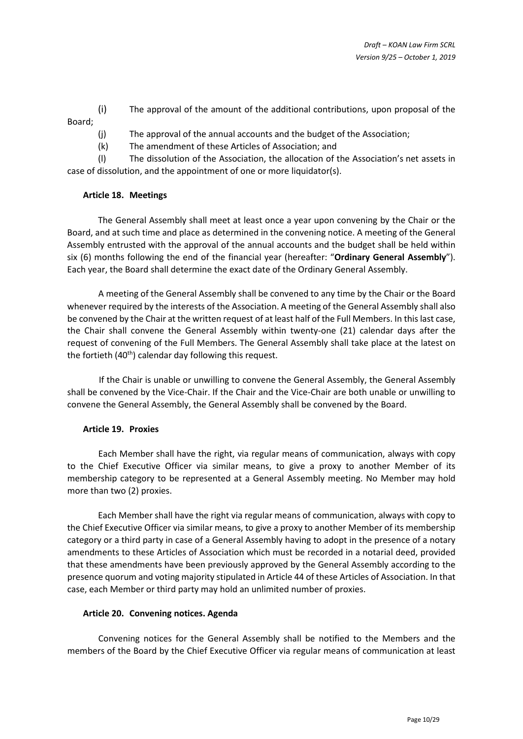(i) The approval of the amount of the additional contributions, upon proposal of the Board;

(j) The approval of the annual accounts and the budget of the Association;

(k) The amendment of these Articles of Association; and

(l) The dissolution of the Association, the allocation of the Association's net assets in case of dissolution, and the appointment of one or more liquidator(s).

# **Article 18. Meetings**

The General Assembly shall meet at least once a year upon convening by the Chair or the Board, and at such time and place as determined in the convening notice. A meeting of the General Assembly entrusted with the approval of the annual accounts and the budget shall be held within six (6) months following the end of the financial year (hereafter: "**Ordinary General Assembly**"). Each year, the Board shall determine the exact date of the Ordinary General Assembly.

A meeting of the General Assembly shall be convened to any time by the Chair or the Board whenever required by the interests of the Association. A meeting of the General Assembly shall also be convened by the Chair at the written request of at least half of the Full Members. In this last case, the Chair shall convene the General Assembly within twenty-one (21) calendar days after the request of convening of the Full Members. The General Assembly shall take place at the latest on the fortieth  $(40<sup>th</sup>)$  calendar day following this request.

If the Chair is unable or unwilling to convene the General Assembly, the General Assembly shall be convened by the Vice-Chair. If the Chair and the Vice-Chair are both unable or unwilling to convene the General Assembly, the General Assembly shall be convened by the Board.

## **Article 19. Proxies**

Each Member shall have the right, via regular means of communication, always with copy to the Chief Executive Officer via similar means, to give a proxy to another Member of its membership category to be represented at a General Assembly meeting. No Member may hold more than two (2) proxies.

Each Member shall have the right via regular means of communication, always with copy to the Chief Executive Officer via similar means, to give a proxy to another Member of its membership category or a third party in case of a General Assembly having to adopt in the presence of a notary amendments to these Articles of Association which must be recorded in a notarial deed, provided that these amendments have been previously approved by the General Assembly according to the presence quorum and voting majority stipulated i[n Article 44](#page-25-0) of these Articles of Association. In that case, each Member or third party may hold an unlimited number of proxies.

## <span id="page-9-0"></span>**Article 20. Convening notices. Agenda**

Convening notices for the General Assembly shall be notified to the Members and the members of the Board by the Chief Executive Officer via regular means of communication at least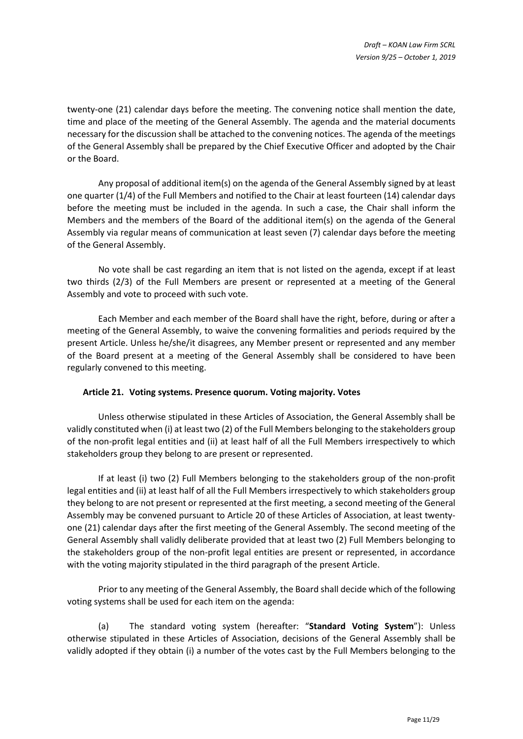twenty-one (21) calendar days before the meeting. The convening notice shall mention the date, time and place of the meeting of the General Assembly. The agenda and the material documents necessary for the discussion shall be attached to the convening notices. The agenda of the meetings of the General Assembly shall be prepared by the Chief Executive Officer and adopted by the Chair or the Board.

Any proposal of additional item(s) on the agenda of the General Assembly signed by at least one quarter (1/4) of the Full Members and notified to the Chair at least fourteen (14) calendar days before the meeting must be included in the agenda. In such a case, the Chair shall inform the Members and the members of the Board of the additional item(s) on the agenda of the General Assembly via regular means of communication at least seven (7) calendar days before the meeting of the General Assembly.

No vote shall be cast regarding an item that is not listed on the agenda, except if at least two thirds (2/3) of the Full Members are present or represented at a meeting of the General Assembly and vote to proceed with such vote.

Each Member and each member of the Board shall have the right, before, during or after a meeting of the General Assembly, to waive the convening formalities and periods required by the present Article. Unless he/she/it disagrees, any Member present or represented and any member of the Board present at a meeting of the General Assembly shall be considered to have been regularly convened to this meeting.

## <span id="page-10-0"></span>**Article 21. Voting systems. Presence quorum. Voting majority. Votes**

Unless otherwise stipulated in these Articles of Association, the General Assembly shall be validly constituted when (i) at least two (2) of the Full Members belonging to the stakeholders group of the non-profit legal entities and (ii) at least half of all the Full Members irrespectively to which stakeholders group they belong to are present or represented.

If at least (i) two (2) Full Members belonging to the stakeholders group of the non-profit legal entities and (ii) at least half of all the Full Members irrespectively to which stakeholders group they belong to are not present or represented at the first meeting, a second meeting of the General Assembly may be convened pursuant to [Article 20](#page-9-0) of these Articles of Association, at least twentyone (21) calendar days after the first meeting of the General Assembly. The second meeting of the General Assembly shall validly deliberate provided that at least two (2) Full Members belonging to the stakeholders group of the non-profit legal entities are present or represented, in accordance with the voting majority stipulated in the third paragraph of the present Article.

Prior to any meeting of the General Assembly, the Board shall decide which of the following voting systems shall be used for each item on the agenda:

(a) The standard voting system (hereafter: "**Standard Voting System**"): Unless otherwise stipulated in these Articles of Association, decisions of the General Assembly shall be validly adopted if they obtain (i) a number of the votes cast by the Full Members belonging to the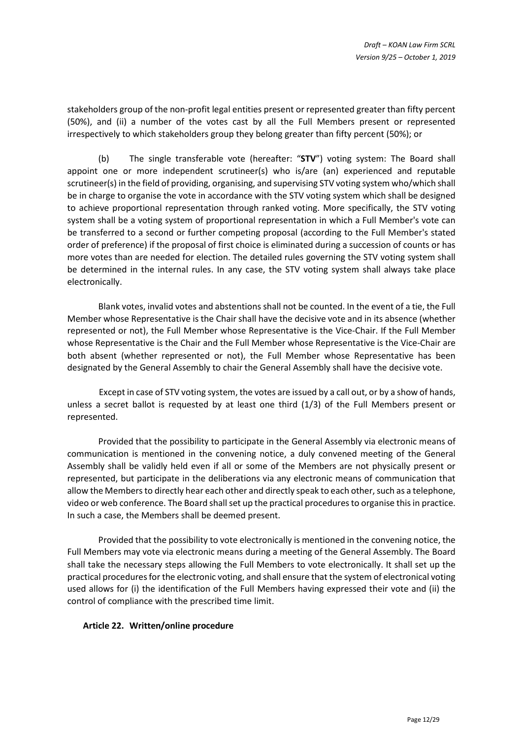stakeholders group of the non-profit legal entities present or represented greater than fifty percent (50%), and (ii) a number of the votes cast by all the Full Members present or represented irrespectively to which stakeholders group they belong greater than fifty percent (50%); or

(b) The single transferable vote (hereafter: "**STV**") voting system: The Board shall appoint one or more independent scrutineer(s) who is/are (an) experienced and reputable scrutineer(s) in the field of providing, organising, and supervising STV voting system who/which shall be in charge to organise the vote in accordance with the STV voting system which shall be designed to achieve proportional representation through ranked voting. More specifically, the STV voting system shall be a voting system of proportional representation in which a Full Member's vote can be transferred to a second or further competing proposal (according to the Full Member's stated order of preference) if the proposal of first choice is eliminated during a succession of counts or has more votes than are needed for election. The detailed rules governing the STV voting system shall be determined in the internal rules. In any case, the STV voting system shall always take place electronically.

Blank votes, invalid votes and abstentions shall not be counted. In the event of a tie, the Full Member whose Representative is the Chair shall have the decisive vote and in its absence (whether represented or not), the Full Member whose Representative is the Vice-Chair. If the Full Member whose Representative is the Chair and the Full Member whose Representative is the Vice-Chair are both absent (whether represented or not), the Full Member whose Representative has been designated by the General Assembly to chair the General Assembly shall have the decisive vote.

Except in case of STV voting system, the votes are issued by a call out, or by a show of hands, unless a secret ballot is requested by at least one third (1/3) of the Full Members present or represented.

Provided that the possibility to participate in the General Assembly via electronic means of communication is mentioned in the convening notice, a duly convened meeting of the General Assembly shall be validly held even if all or some of the Members are not physically present or represented, but participate in the deliberations via any electronic means of communication that allow the Members to directly hear each other and directly speak to each other, such as a telephone, video or web conference. The Board shall set up the practical procedures to organise this in practice. In such a case, the Members shall be deemed present.

Provided that the possibility to vote electronically is mentioned in the convening notice, the Full Members may vote via electronic means during a meeting of the General Assembly. The Board shall take the necessary steps allowing the Full Members to vote electronically. It shall set up the practical procedures for the electronic voting, and shall ensure that the system of electronical voting used allows for (i) the identification of the Full Members having expressed their vote and (ii) the control of compliance with the prescribed time limit.

## <span id="page-11-0"></span>**Article 22. Written/online procedure**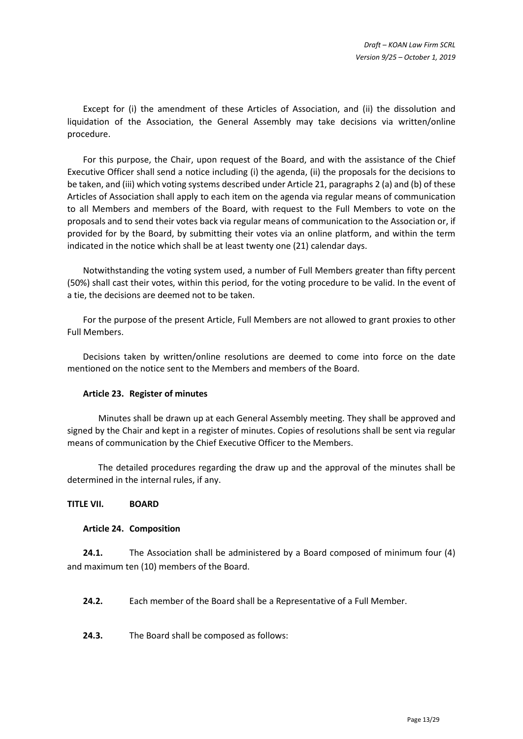Except for (i) the amendment of these Articles of Association, and (ii) the dissolution and liquidation of the Association, the General Assembly may take decisions via written/online procedure.

For this purpose, the Chair, upon request of the Board, and with the assistance of the Chief Executive Officer shall send a notice including (i) the agenda, (ii) the proposals for the decisions to be taken, and (iii) which voting systems described under [Article 21,](#page-10-0) paragraphs 2 (a) and (b) of these Articles of Association shall apply to each item on the agenda via regular means of communication to all Members and members of the Board, with request to the Full Members to vote on the proposals and to send their votes back via regular means of communication to the Association or, if provided for by the Board, by submitting their votes via an online platform, and within the term indicated in the notice which shall be at least twenty one (21) calendar days.

Notwithstanding the voting system used, a number of Full Members greater than fifty percent (50%) shall cast their votes, within this period, for the voting procedure to be valid. In the event of a tie, the decisions are deemed not to be taken.

For the purpose of the present Article, Full Members are not allowed to grant proxies to other Full Members.

Decisions taken by written/online resolutions are deemed to come into force on the date mentioned on the notice sent to the Members and members of the Board.

## **Article 23. Register of minutes**

Minutes shall be drawn up at each General Assembly meeting. They shall be approved and signed by the Chair and kept in a register of minutes. Copies of resolutions shall be sent via regular means of communication by the Chief Executive Officer to the Members.

The detailed procedures regarding the draw up and the approval of the minutes shall be determined in the internal rules, if any.

#### **TITLE VII. BOARD**

#### <span id="page-12-2"></span>**Article 24. Composition**

**24.1.** The Association shall be administered by a Board composed of minimum four (4) and maximum ten (10) members of the Board.

<span id="page-12-1"></span>**24.2.** Each member of the Board shall be a Representative of a Full Member.

<span id="page-12-0"></span>**24.3.** The Board shall be composed as follows: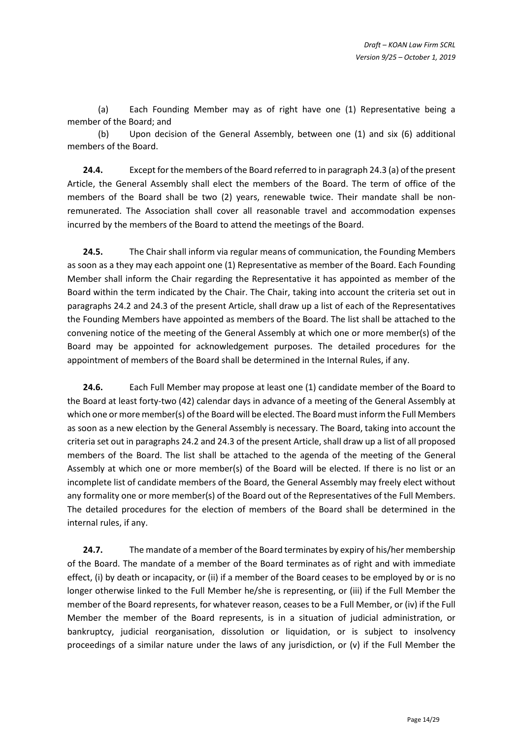<span id="page-13-0"></span>(a) Each Founding Member may as of right have one (1) Representative being a member of the Board; and

(b) Upon decision of the General Assembly, between one (1) and six (6) additional members of the Board.

**24.4.** Except for the members of the Board referred to in paragrap[h 24.3](#page-12-0) [\(a\)](#page-13-0) of the present Article, the General Assembly shall elect the members of the Board. The term of office of the members of the Board shall be two (2) years, renewable twice. Their mandate shall be nonremunerated. The Association shall cover all reasonable travel and accommodation expenses incurred by the members of the Board to attend the meetings of the Board.

**24.5.** The Chair shall inform via regular means of communication, the Founding Members as soon as a they may each appoint one (1) Representative as member of the Board. Each Founding Member shall inform the Chair regarding the Representative it has appointed as member of the Board within the term indicated by the Chair. The Chair, taking into account the criteria set out in paragraphs [24.2](#page-12-1) and [24.3](#page-12-0) of the present Article, shall draw up a list of each of the Representatives the Founding Members have appointed as members of the Board. The list shall be attached to the convening notice of the meeting of the General Assembly at which one or more member(s) of the Board may be appointed for acknowledgement purposes. The detailed procedures for the appointment of members of the Board shall be determined in the Internal Rules, if any.

**24.6.** Each Full Member may propose at least one (1) candidate member of the Board to the Board at least forty-two (42) calendar days in advance of a meeting of the General Assembly at which one or more member(s) of the Board will be elected. The Board must inform the Full Members as soon as a new election by the General Assembly is necessary. The Board, taking into account the criteria set out in paragraph[s 24.2](#page-12-1) an[d 24.3](#page-12-0) of the present Article, shall draw up a list of all proposed members of the Board. The list shall be attached to the agenda of the meeting of the General Assembly at which one or more member(s) of the Board will be elected. If there is no list or an incomplete list of candidate members of the Board, the General Assembly may freely elect without any formality one or more member(s) of the Board out of the Representatives of the Full Members. The detailed procedures for the election of members of the Board shall be determined in the internal rules, if any.

**24.7.** The mandate of a member of the Board terminates by expiry of his/her membership of the Board. The mandate of a member of the Board terminates as of right and with immediate effect, (i) by death or incapacity, or (ii) if a member of the Board ceases to be employed by or is no longer otherwise linked to the Full Member he/she is representing, or (iii) if the Full Member the member of the Board represents, for whatever reason, ceases to be a Full Member, or (iv) if the Full Member the member of the Board represents, is in a situation of judicial administration, or bankruptcy, judicial reorganisation, dissolution or liquidation, or is subject to insolvency proceedings of a similar nature under the laws of any jurisdiction, or (v) if the Full Member the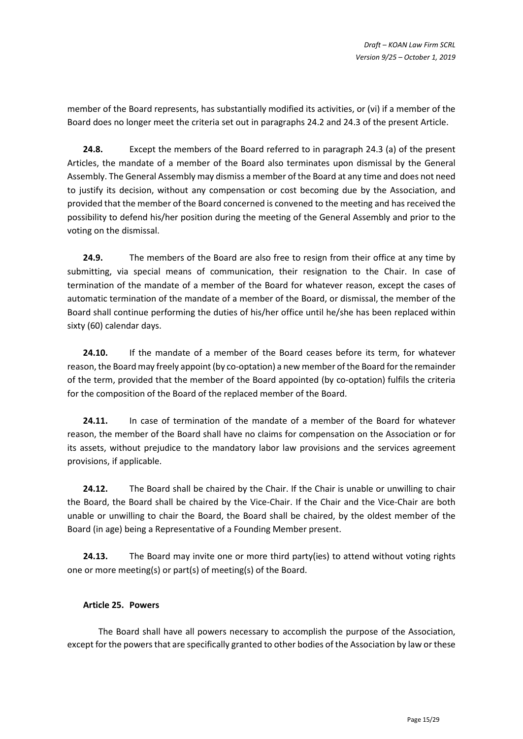member of the Board represents, has substantially modified its activities, or (vi) if a member of the Board does no longer meet the criteria set out in paragraph[s 24.2](#page-12-1) and [24.3](#page-12-0) of the present Article.

**24.8.** Except the members of the Board referred to in paragraph [24.3](#page-12-0) [\(a\)](#page-13-0) of the present Articles, the mandate of a member of the Board also terminates upon dismissal by the General Assembly. The General Assembly may dismiss a member of the Board at any time and does not need to justify its decision, without any compensation or cost becoming due by the Association, and provided that the member of the Board concerned is convened to the meeting and has received the possibility to defend his/her position during the meeting of the General Assembly and prior to the voting on the dismissal.

**24.9.** The members of the Board are also free to resign from their office at any time by submitting, via special means of communication, their resignation to the Chair. In case of termination of the mandate of a member of the Board for whatever reason, except the cases of automatic termination of the mandate of a member of the Board, or dismissal, the member of the Board shall continue performing the duties of his/her office until he/she has been replaced within sixty (60) calendar days.

**24.10.** If the mandate of a member of the Board ceases before its term, for whatever reason, the Boardmay freely appoint (by co-optation) a new member of the Board for the remainder of the term, provided that the member of the Board appointed (by co-optation) fulfils the criteria for the composition of the Board of the replaced member of the Board.

**24.11.** In case of termination of the mandate of a member of the Board for whatever reason, the member of the Board shall have no claims for compensation on the Association or for its assets, without prejudice to the mandatory labor law provisions and the services agreement provisions, if applicable.

**24.12.** The Board shall be chaired by the Chair. If the Chair is unable or unwilling to chair the Board, the Board shall be chaired by the Vice-Chair. If the Chair and the Vice-Chair are both unable or unwilling to chair the Board, the Board shall be chaired, by the oldest member of the Board (in age) being a Representative of a Founding Member present.

**24.13.** The Board may invite one or more third party(ies) to attend without voting rights one or more meeting(s) or part(s) of meeting(s) of the Board.

# **Article 25. Powers**

The Board shall have all powers necessary to accomplish the purpose of the Association, except for the powers that are specifically granted to other bodies of the Association by law or these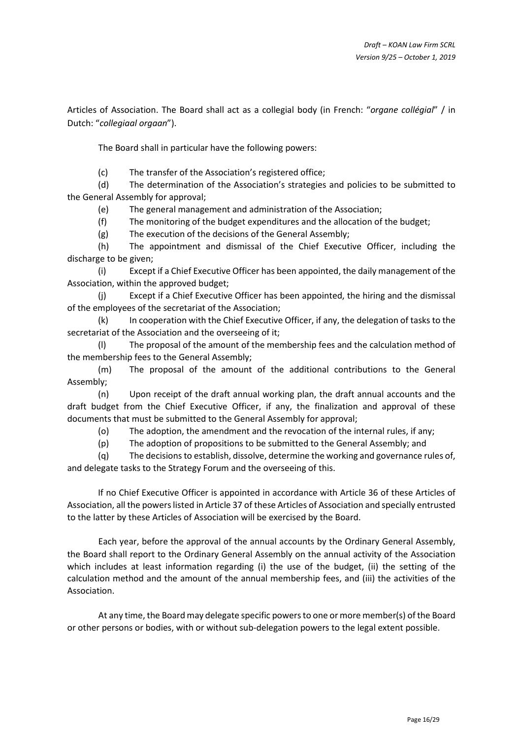Articles of Association. The Board shall act as a collegial body (in French: "*organe collégial*" / in Dutch: "*collegiaal orgaan*").

The Board shall in particular have the following powers:

(c) The transfer of the Association's registered office;

(d) The determination of the Association's strategies and policies to be submitted to the General Assembly for approval;

(e) The general management and administration of the Association;

(f) The monitoring of the budget expenditures and the allocation of the budget;

(g) The execution of the decisions of the General Assembly;

(h) The appointment and dismissal of the Chief Executive Officer, including the discharge to be given;

(i) Except if a Chief Executive Officer has been appointed, the daily management of the Association, within the approved budget;

(j) Except if a Chief Executive Officer has been appointed, the hiring and the dismissal of the employees of the secretariat of the Association;

(k) In cooperation with the Chief Executive Officer, if any, the delegation of tasks to the secretariat of the Association and the overseeing of it;

(l) The proposal of the amount of the membership fees and the calculation method of the membership fees to the General Assembly;

(m) The proposal of the amount of the additional contributions to the General Assembly;

(n) Upon receipt of the draft annual working plan, the draft annual accounts and the draft budget from the Chief Executive Officer, if any, the finalization and approval of these documents that must be submitted to the General Assembly for approval;

(o) The adoption, the amendment and the revocation of the internal rules, if any;

(p) The adoption of propositions to be submitted to the General Assembly; and

(q) The decisionsto establish, dissolve, determine the working and governance rules of, and delegate tasks to the Strategy Forum and the overseeing of this.

If no Chief Executive Officer is appointed in accordance with [Article 36](#page-21-0) of these Articles of Association, all the powers listed i[n Article 37](#page-22-0) of these Articles of Association and specially entrusted to the latter by these Articles of Association will be exercised by the Board.

Each year, before the approval of the annual accounts by the Ordinary General Assembly, the Board shall report to the Ordinary General Assembly on the annual activity of the Association which includes at least information regarding (i) the use of the budget, (ii) the setting of the calculation method and the amount of the annual membership fees, and (iii) the activities of the Association.

At any time, the Board may delegate specific powers to one or more member(s) of the Board or other persons or bodies, with or without sub-delegation powers to the legal extent possible.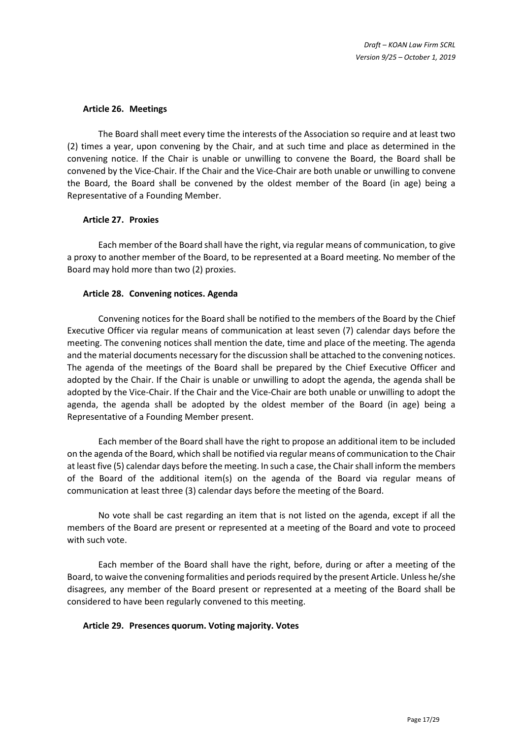## **Article 26. Meetings**

The Board shall meet every time the interests of the Association so require and at least two (2) times a year, upon convening by the Chair, and at such time and place as determined in the convening notice. If the Chair is unable or unwilling to convene the Board, the Board shall be convened by the Vice-Chair. If the Chair and the Vice-Chair are both unable or unwilling to convene the Board, the Board shall be convened by the oldest member of the Board (in age) being a Representative of a Founding Member.

#### **Article 27. Proxies**

Each member of the Board shall have the right, via regular means of communication, to give a proxy to another member of the Board, to be represented at a Board meeting. No member of the Board may hold more than two (2) proxies.

## <span id="page-16-0"></span>**Article 28. Convening notices. Agenda**

Convening notices for the Board shall be notified to the members of the Board by the Chief Executive Officer via regular means of communication at least seven (7) calendar days before the meeting. The convening notices shall mention the date, time and place of the meeting. The agenda and the material documents necessary for the discussion shall be attached to the convening notices. The agenda of the meetings of the Board shall be prepared by the Chief Executive Officer and adopted by the Chair. If the Chair is unable or unwilling to adopt the agenda, the agenda shall be adopted by the Vice-Chair. If the Chair and the Vice-Chair are both unable or unwilling to adopt the agenda, the agenda shall be adopted by the oldest member of the Board (in age) being a Representative of a Founding Member present.

Each member of the Board shall have the right to propose an additional item to be included on the agenda of the Board, which shall be notified via regular means of communication to the Chair at least five (5) calendar days before the meeting. In such a case, the Chair shall inform the members of the Board of the additional item(s) on the agenda of the Board via regular means of communication at least three (3) calendar days before the meeting of the Board.

No vote shall be cast regarding an item that is not listed on the agenda, except if all the members of the Board are present or represented at a meeting of the Board and vote to proceed with such vote.

Each member of the Board shall have the right, before, during or after a meeting of the Board, to waive the convening formalities and periods required by the present Article. Unless he/she disagrees, any member of the Board present or represented at a meeting of the Board shall be considered to have been regularly convened to this meeting.

## <span id="page-16-1"></span>**Article 29. Presences quorum. Voting majority. Votes**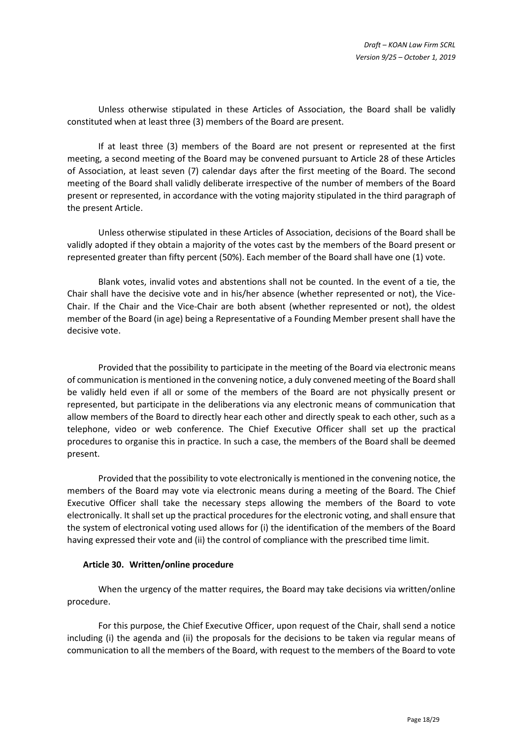Unless otherwise stipulated in these Articles of Association, the Board shall be validly constituted when at least three (3) members of the Board are present.

If at least three (3) members of the Board are not present or represented at the first meeting, a second meeting of the Board may be convened pursuant to [Article 28](#page-16-0) of these Articles of Association, at least seven (7) calendar days after the first meeting of the Board. The second meeting of the Board shall validly deliberate irrespective of the number of members of the Board present or represented, in accordance with the voting majority stipulated in the third paragraph of the present Article.

Unless otherwise stipulated in these Articles of Association, decisions of the Board shall be validly adopted if they obtain a majority of the votes cast by the members of the Board present or represented greater than fifty percent (50%). Each member of the Board shall have one (1) vote.

Blank votes, invalid votes and abstentions shall not be counted. In the event of a tie, the Chair shall have the decisive vote and in his/her absence (whether represented or not), the Vice-Chair. If the Chair and the Vice-Chair are both absent (whether represented or not), the oldest member of the Board (in age) being a Representative of a Founding Member present shall have the decisive vote.

Provided that the possibility to participate in the meeting of the Board via electronic means of communication is mentioned in the convening notice, a duly convened meeting of the Board shall be validly held even if all or some of the members of the Board are not physically present or represented, but participate in the deliberations via any electronic means of communication that allow members of the Board to directly hear each other and directly speak to each other, such as a telephone, video or web conference. The Chief Executive Officer shall set up the practical procedures to organise this in practice. In such a case, the members of the Board shall be deemed present.

Provided that the possibility to vote electronically is mentioned in the convening notice, the members of the Board may vote via electronic means during a meeting of the Board. The Chief Executive Officer shall take the necessary steps allowing the members of the Board to vote electronically. It shall set up the practical procedures for the electronic voting, and shall ensure that the system of electronical voting used allows for (i) the identification of the members of the Board having expressed their vote and (ii) the control of compliance with the prescribed time limit.

## **Article 30. Written/online procedure**

When the urgency of the matter requires, the Board may take decisions via written/online procedure.

For this purpose, the Chief Executive Officer, upon request of the Chair, shall send a notice including (i) the agenda and (ii) the proposals for the decisions to be taken via regular means of communication to all the members of the Board, with request to the members of the Board to vote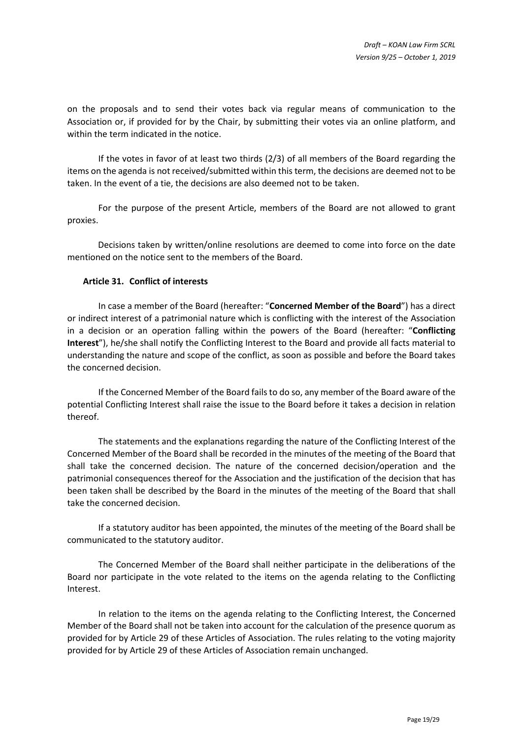on the proposals and to send their votes back via regular means of communication to the Association or, if provided for by the Chair, by submitting their votes via an online platform, and within the term indicated in the notice.

If the votes in favor of at least two thirds (2/3) of all members of the Board regarding the items on the agenda is not received/submitted within this term, the decisions are deemed not to be taken. In the event of a tie, the decisions are also deemed not to be taken.

For the purpose of the present Article, members of the Board are not allowed to grant proxies.

Decisions taken by written/online resolutions are deemed to come into force on the date mentioned on the notice sent to the members of the Board.

## **Article 31. Conflict of interests**

In case a member of the Board (hereafter: "**Concerned Member of the Board**") has a direct or indirect interest of a patrimonial nature which is conflicting with the interest of the Association in a decision or an operation falling within the powers of the Board (hereafter: "**Conflicting Interest**"), he/she shall notify the Conflicting Interest to the Board and provide all facts material to understanding the nature and scope of the conflict, as soon as possible and before the Board takes the concerned decision.

If the Concerned Member of the Board fails to do so, any member of the Board aware of the potential Conflicting Interest shall raise the issue to the Board before it takes a decision in relation thereof.

The statements and the explanations regarding the nature of the Conflicting Interest of the Concerned Member of the Board shall be recorded in the minutes of the meeting of the Board that shall take the concerned decision. The nature of the concerned decision/operation and the patrimonial consequences thereof for the Association and the justification of the decision that has been taken shall be described by the Board in the minutes of the meeting of the Board that shall take the concerned decision.

If a statutory auditor has been appointed, the minutes of the meeting of the Board shall be communicated to the statutory auditor.

The Concerned Member of the Board shall neither participate in the deliberations of the Board nor participate in the vote related to the items on the agenda relating to the Conflicting Interest.

In relation to the items on the agenda relating to the Conflicting Interest, the Concerned Member of the Board shall not be taken into account for the calculation of the presence quorum as provided for by [Article 29](#page-16-1) of these Articles of Association. The rules relating to the voting majority provided for by [Article 29](#page-16-1) of these Articles of Association remain unchanged.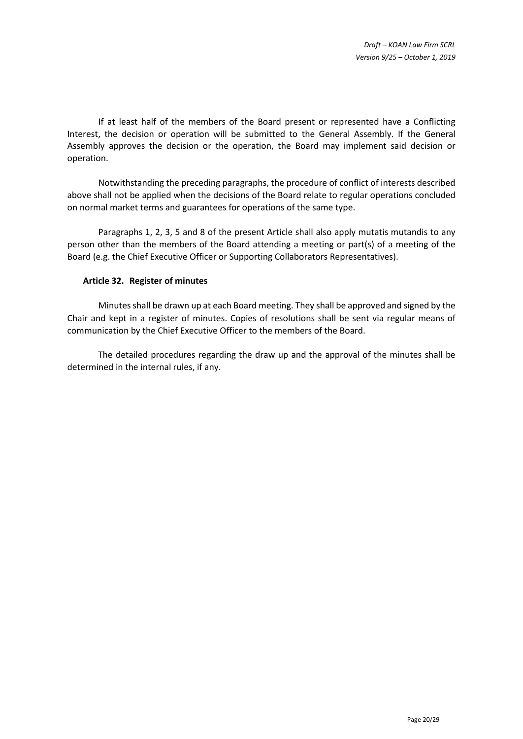If at least half of the members of the Board present or represented have a Conflicting Interest, the decision or operation will be submitted to the General Assembly. If the General Assembly approves the decision or the operation, the Board may implement said decision or operation.

Notwithstanding the preceding paragraphs, the procedure of conflict of interests described above shall not be applied when the decisions of the Board relate to regular operations concluded on normal market terms and guarantees for operations of the same type.

Paragraphs 1, 2, 3, 5 and 8 of the present Article shall also apply mutatis mutandis to any person other than the members of the Board attending a meeting or part(s) of a meeting of the Board (e.g. the Chief Executive Officer or Supporting Collaborators Representatives).

## **Article 32. Register of minutes**

Minutes shall be drawn up at each Board meeting. They shall be approved and signed by the Chair and kept in a register of minutes. Copies of resolutions shall be sent via regular means of communication by the Chief Executive Officer to the members of the Board.

The detailed procedures regarding the draw up and the approval of the minutes shall be determined in the internal rules, if any.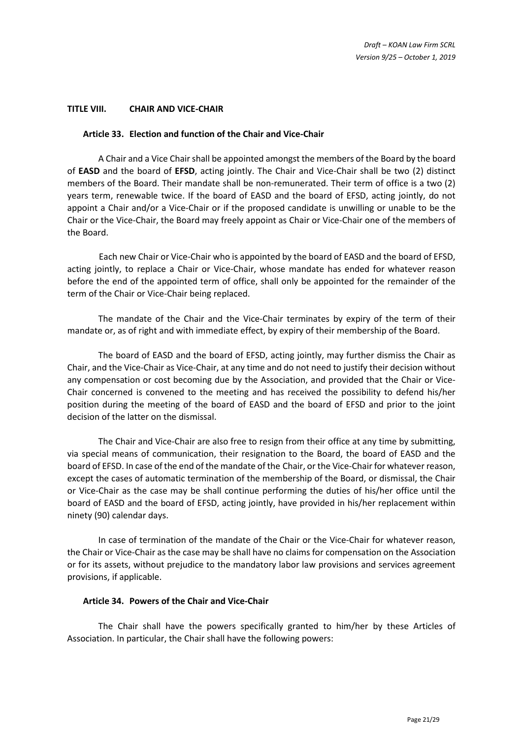#### **TITLE VIII. CHAIR AND VICE-CHAIR**

#### <span id="page-20-0"></span>**Article 33. Election and function of the Chair and Vice-Chair**

A Chair and a Vice Chair shall be appointed amongst the members of the Board by the board of **EASD** and the board of **EFSD**, acting jointly. The Chair and Vice-Chair shall be two (2) distinct members of the Board. Their mandate shall be non-remunerated. Their term of office is a two (2) years term, renewable twice. If the board of EASD and the board of EFSD, acting jointly, do not appoint a Chair and/or a Vice-Chair or if the proposed candidate is unwilling or unable to be the Chair or the Vice-Chair, the Board may freely appoint as Chair or Vice-Chair one of the members of the Board.

Each new Chair or Vice-Chair who is appointed by the board of EASD and the board of EFSD, acting jointly, to replace a Chair or Vice-Chair, whose mandate has ended for whatever reason before the end of the appointed term of office, shall only be appointed for the remainder of the term of the Chair or Vice-Chair being replaced.

The mandate of the Chair and the Vice-Chair terminates by expiry of the term of their mandate or, as of right and with immediate effect, by expiry of their membership of the Board.

The board of EASD and the board of EFSD, acting jointly, may further dismiss the Chair as Chair, and the Vice-Chair as Vice-Chair, at any time and do not need to justify their decision without any compensation or cost becoming due by the Association, and provided that the Chair or Vice-Chair concerned is convened to the meeting and has received the possibility to defend his/her position during the meeting of the board of EASD and the board of EFSD and prior to the joint decision of the latter on the dismissal.

The Chair and Vice-Chair are also free to resign from their office at any time by submitting, via special means of communication, their resignation to the Board, the board of EASD and the board of EFSD. In case of the end of the mandate of the Chair, or the Vice-Chair for whatever reason, except the cases of automatic termination of the membership of the Board, or dismissal, the Chair or Vice-Chair as the case may be shall continue performing the duties of his/her office until the board of EASD and the board of EFSD, acting jointly, have provided in his/her replacement within ninety (90) calendar days.

In case of termination of the mandate of the Chair or the Vice-Chair for whatever reason, the Chair or Vice-Chair as the case may be shall have no claims for compensation on the Association or for its assets, without prejudice to the mandatory labor law provisions and services agreement provisions, if applicable.

#### **Article 34. Powers of the Chair and Vice-Chair**

The Chair shall have the powers specifically granted to him/her by these Articles of Association. In particular, the Chair shall have the following powers: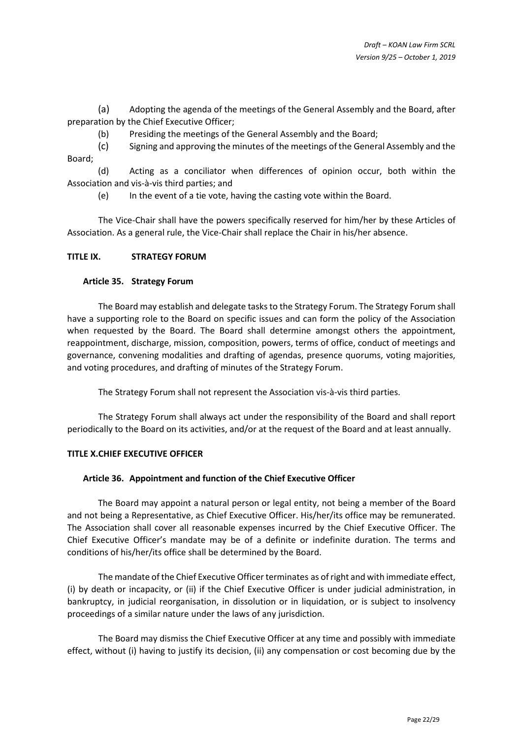(a) Adopting the agenda of the meetings of the General Assembly and the Board, after preparation by the Chief Executive Officer;

(b) Presiding the meetings of the General Assembly and the Board;

(c) Signing and approving the minutes of the meetings of the General Assembly and the Board;

(d) Acting as a conciliator when differences of opinion occur, both within the Association and vis-à-vis third parties; and

(e) In the event of a tie vote, having the casting vote within the Board.

The Vice-Chair shall have the powers specifically reserved for him/her by these Articles of Association. As a general rule, the Vice-Chair shall replace the Chair in his/her absence.

## **TITLE IX. STRATEGY FORUM**

## **Article 35. Strategy Forum**

The Board may establish and delegate tasks to the Strategy Forum. The Strategy Forum shall have a supporting role to the Board on specific issues and can form the policy of the Association when requested by the Board. The Board shall determine amongst others the appointment, reappointment, discharge, mission, composition, powers, terms of office, conduct of meetings and governance, convening modalities and drafting of agendas, presence quorums, voting majorities, and voting procedures, and drafting of minutes of the Strategy Forum.

The Strategy Forum shall not represent the Association vis-à-vis third parties.

The Strategy Forum shall always act under the responsibility of the Board and shall report periodically to the Board on its activities, and/or at the request of the Board and at least annually.

## **TITLE X.CHIEF EXECUTIVE OFFICER**

## <span id="page-21-0"></span>**Article 36. Appointment and function of the Chief Executive Officer**

The Board may appoint a natural person or legal entity, not being a member of the Board and not being a Representative, as Chief Executive Officer. His/her/its office may be remunerated. The Association shall cover all reasonable expenses incurred by the Chief Executive Officer. The Chief Executive Officer's mandate may be of a definite or indefinite duration. The terms and conditions of his/her/its office shall be determined by the Board.

The mandate of the Chief Executive Officer terminates as of right and with immediate effect, (i) by death or incapacity, or (ii) if the Chief Executive Officer is under judicial administration, in bankruptcy, in judicial reorganisation, in dissolution or in liquidation, or is subject to insolvency proceedings of a similar nature under the laws of any jurisdiction.

The Board may dismiss the Chief Executive Officer at any time and possibly with immediate effect, without (i) having to justify its decision, (ii) any compensation or cost becoming due by the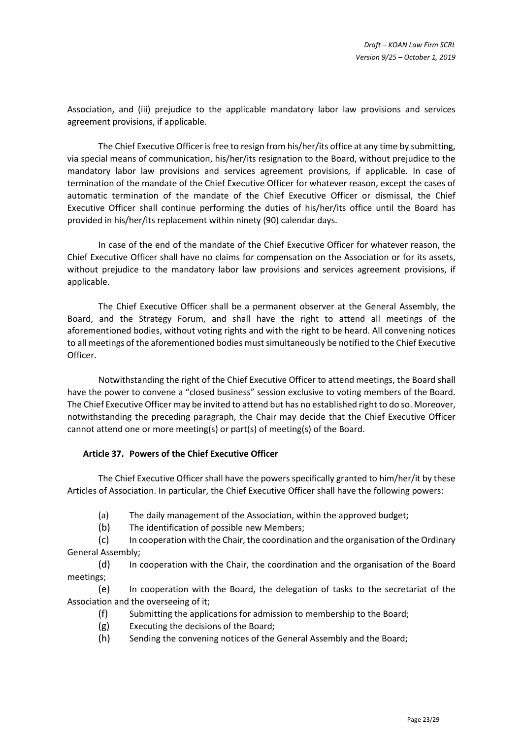Association, and (iii) prejudice to the applicable mandatory labor law provisions and services agreement provisions, if applicable.

The Chief Executive Officer is free to resign from his/her/its office at any time by submitting, via special means of communication, his/her/its resignation to the Board, without prejudice to the mandatory labor law provisions and services agreement provisions, if applicable. In case of termination of the mandate of the Chief Executive Officer for whatever reason, except the cases of automatic termination of the mandate of the Chief Executive Officer or dismissal, the Chief Executive Officer shall continue performing the duties of his/her/its office until the Board has provided in his/her/its replacement within ninety (90) calendar days.

In case of the end of the mandate of the Chief Executive Officer for whatever reason, the Chief Executive Officer shall have no claims for compensation on the Association or for its assets, without prejudice to the mandatory labor law provisions and services agreement provisions, if applicable.

The Chief Executive Officer shall be a permanent observer at the General Assembly, the Board, and the Strategy Forum, and shall have the right to attend all meetings of the aforementioned bodies, without voting rights and with the right to be heard. All convening notices to all meetings of the aforementioned bodies must simultaneously be notified to the Chief Executive Officer.

Notwithstanding the right of the Chief Executive Officer to attend meetings, the Board shall have the power to convene a "closed business" session exclusive to voting members of the Board. The Chief Executive Officer may be invited to attend but has no established right to do so. Moreover, notwithstanding the preceding paragraph, the Chair may decide that the Chief Executive Officer cannot attend one or more meeting(s) or part(s) of meeting(s) of the Board.

## <span id="page-22-0"></span>**Article 37. Powers of the Chief Executive Officer**

The Chief Executive Officer shall have the powers specifically granted to him/her/it by these Articles of Association. In particular, the Chief Executive Officer shall have the following powers:

- (a) The daily management of the Association, within the approved budget;
- (b) The identification of possible new Members;

(c) In cooperation with the Chair, the coordination and the organisation of the Ordinary General Assembly;

(d) In cooperation with the Chair, the coordination and the organisation of the Board meetings;

(e) In cooperation with the Board, the delegation of tasks to the secretariat of the Association and the overseeing of it;

- (f) Submitting the applications for admission to membership to the Board;
- (g) Executing the decisions of the Board;
- (h) Sending the convening notices of the General Assembly and the Board;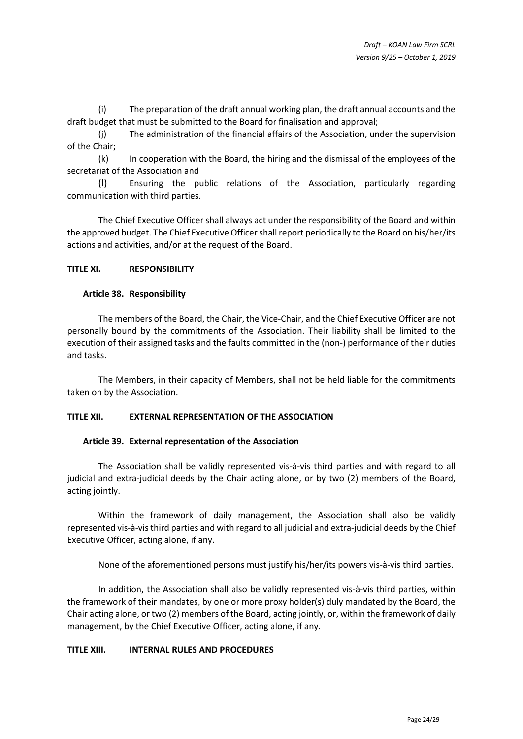(i) The preparation of the draft annual working plan, the draft annual accounts and the draft budget that must be submitted to the Board for finalisation and approval;

(j) The administration of the financial affairs of the Association, under the supervision of the Chair;

(k) In cooperation with the Board, the hiring and the dismissal of the employees of the secretariat of the Association and

(l) Ensuring the public relations of the Association, particularly regarding communication with third parties.

The Chief Executive Officer shall always act under the responsibility of the Board and within the approved budget. The Chief Executive Officershall report periodically to the Board on his/her/its actions and activities, and/or at the request of the Board.

# **TITLE XI. RESPONSIBILITY**

## **Article 38. Responsibility**

The members of the Board, the Chair, the Vice-Chair, and the Chief Executive Officer are not personally bound by the commitments of the Association. Their liability shall be limited to the execution of their assigned tasks and the faults committed in the (non-) performance of their duties and tasks.

The Members, in their capacity of Members, shall not be held liable for the commitments taken on by the Association.

## **TITLE XII. EXTERNAL REPRESENTATION OF THE ASSOCIATION**

## **Article 39. External representation of the Association**

The Association shall be validly represented vis-à-vis third parties and with regard to all judicial and extra-judicial deeds by the Chair acting alone, or by two (2) members of the Board, acting jointly.

Within the framework of daily management, the Association shall also be validly represented vis-à-vis third parties and with regard to all judicial and extra-judicial deeds by the Chief Executive Officer, acting alone, if any.

None of the aforementioned persons must justify his/her/its powers vis-à-vis third parties.

In addition, the Association shall also be validly represented vis-à-vis third parties, within the framework of their mandates, by one or more proxy holder(s) duly mandated by the Board, the Chair acting alone, or two (2) members of the Board, acting jointly, or, within the framework of daily management, by the Chief Executive Officer, acting alone, if any.

## **TITLE XIII. INTERNAL RULES AND PROCEDURES**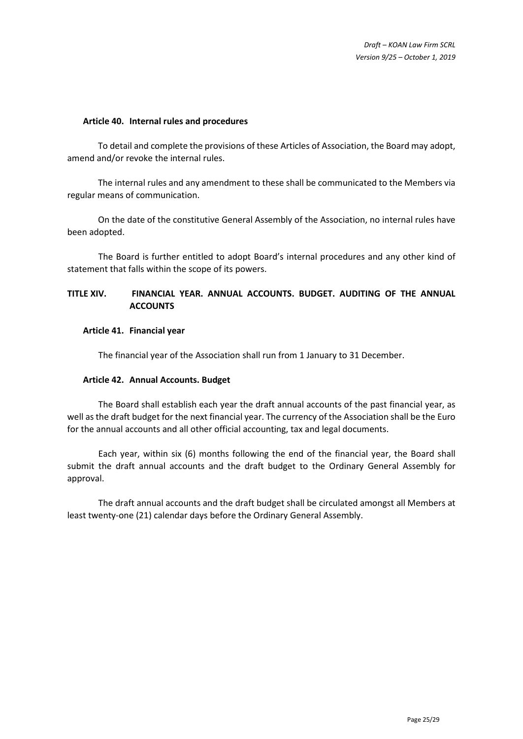#### **Article 40. Internal rules and procedures**

To detail and complete the provisions of these Articles of Association, the Board may adopt, amend and/or revoke the internal rules.

The internal rules and any amendment to these shall be communicated to the Members via regular means of communication.

On the date of the constitutive General Assembly of the Association, no internal rules have been adopted.

The Board is further entitled to adopt Board's internal procedures and any other kind of statement that falls within the scope of its powers.

# **TITLE XIV. FINANCIAL YEAR. ANNUAL ACCOUNTS. BUDGET. AUDITING OF THE ANNUAL ACCOUNTS**

#### **Article 41. Financial year**

The financial year of the Association shall run from 1 January to 31 December.

#### **Article 42. Annual Accounts. Budget**

The Board shall establish each year the draft annual accounts of the past financial year, as well as the draft budget for the next financial year. The currency of the Association shall be the Euro for the annual accounts and all other official accounting, tax and legal documents.

Each year, within six (6) months following the end of the financial year, the Board shall submit the draft annual accounts and the draft budget to the Ordinary General Assembly for approval.

The draft annual accounts and the draft budget shall be circulated amongst all Members at least twenty-one (21) calendar days before the Ordinary General Assembly.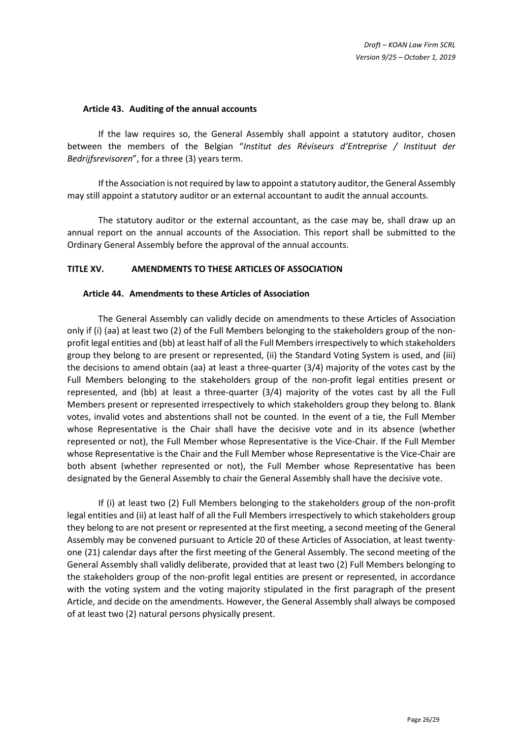#### **Article 43. Auditing of the annual accounts**

If the law requires so, the General Assembly shall appoint a statutory auditor, chosen between the members of the Belgian "*Institut des Réviseurs d'Entreprise / Instituut der Bedrijfsrevisoren*", for a three (3) years term.

If the Association is not required by law to appoint a statutory auditor, the General Assembly may still appoint a statutory auditor or an external accountant to audit the annual accounts.

The statutory auditor or the external accountant, as the case may be, shall draw up an annual report on the annual accounts of the Association. This report shall be submitted to the Ordinary General Assembly before the approval of the annual accounts.

## **TITLE XV. AMENDMENTS TO THESE ARTICLES OF ASSOCIATION**

#### <span id="page-25-0"></span>**Article 44. Amendments to these Articles of Association**

The General Assembly can validly decide on amendments to these Articles of Association only if (i) (aa) at least two (2) of the Full Members belonging to the stakeholders group of the nonprofit legal entities and (bb) at least half of all the Full Members irrespectively to which stakeholders group they belong to are present or represented, (ii) the Standard Voting System is used, and (iii) the decisions to amend obtain (aa) at least a three-quarter (3/4) majority of the votes cast by the Full Members belonging to the stakeholders group of the non-profit legal entities present or represented, and (bb) at least a three-quarter (3/4) majority of the votes cast by all the Full Members present or represented irrespectively to which stakeholders group they belong to. Blank votes, invalid votes and abstentions shall not be counted. In the event of a tie, the Full Member whose Representative is the Chair shall have the decisive vote and in its absence (whether represented or not), the Full Member whose Representative is the Vice-Chair. If the Full Member whose Representative is the Chair and the Full Member whose Representative is the Vice-Chair are both absent (whether represented or not), the Full Member whose Representative has been designated by the General Assembly to chair the General Assembly shall have the decisive vote.

If (i) at least two (2) Full Members belonging to the stakeholders group of the non-profit legal entities and (ii) at least half of all the Full Members irrespectively to which stakeholders group they belong to are not present or represented at the first meeting, a second meeting of the General Assembly may be convened pursuant to [Article 20](#page-9-0) of these Articles of Association, at least twentyone (21) calendar days after the first meeting of the General Assembly. The second meeting of the General Assembly shall validly deliberate, provided that at least two (2) Full Members belonging to the stakeholders group of the non-profit legal entities are present or represented, in accordance with the voting system and the voting majority stipulated in the first paragraph of the present Article, and decide on the amendments. However, the General Assembly shall always be composed of at least two (2) natural persons physically present.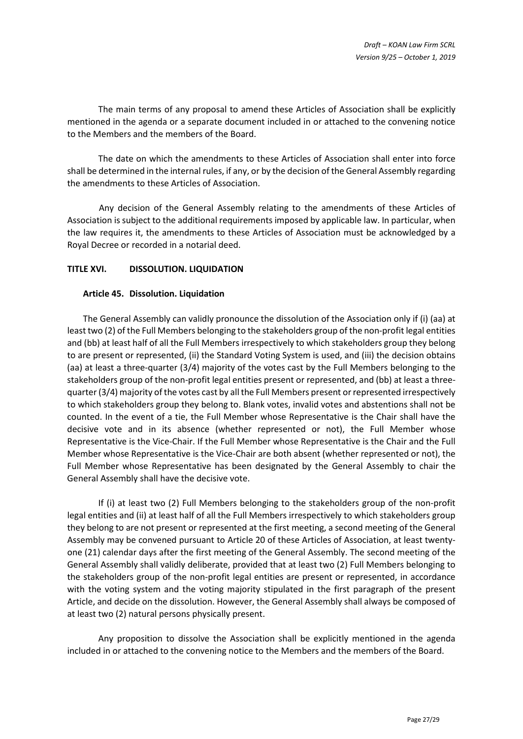The main terms of any proposal to amend these Articles of Association shall be explicitly mentioned in the agenda or a separate document included in or attached to the convening notice to the Members and the members of the Board.

The date on which the amendments to these Articles of Association shall enter into force shall be determined in the internal rules, if any, or by the decision of the General Assembly regarding the amendments to these Articles of Association.

Any decision of the General Assembly relating to the amendments of these Articles of Association is subject to the additional requirements imposed by applicable law. In particular, when the law requires it, the amendments to these Articles of Association must be acknowledged by a Royal Decree or recorded in a notarial deed.

# **TITLE XVI. DISSOLUTION. LIQUIDATION**

## <span id="page-26-0"></span>**Article 45. Dissolution. Liquidation**

The General Assembly can validly pronounce the dissolution of the Association only if (i) (aa) at least two (2) of the Full Members belonging to the stakeholders group of the non-profit legal entities and (bb) at least half of all the Full Members irrespectively to which stakeholders group they belong to are present or represented, (ii) the Standard Voting System is used, and (iii) the decision obtains (aa) at least a three-quarter (3/4) majority of the votes cast by the Full Members belonging to the stakeholders group of the non-profit legal entities present or represented, and (bb) at least a threequarter (3/4) majority of the votes cast by all the Full Members present or represented irrespectively to which stakeholders group they belong to. Blank votes, invalid votes and abstentions shall not be counted. In the event of a tie, the Full Member whose Representative is the Chair shall have the decisive vote and in its absence (whether represented or not), the Full Member whose Representative is the Vice-Chair. If the Full Member whose Representative is the Chair and the Full Member whose Representative is the Vice-Chair are both absent (whether represented or not), the Full Member whose Representative has been designated by the General Assembly to chair the General Assembly shall have the decisive vote.

If (i) at least two (2) Full Members belonging to the stakeholders group of the non-profit legal entities and (ii) at least half of all the Full Members irrespectively to which stakeholders group they belong to are not present or represented at the first meeting, a second meeting of the General Assembly may be convened pursuant to [Article 20](#page-9-0) of these Articles of Association, at least twentyone (21) calendar days after the first meeting of the General Assembly. The second meeting of the General Assembly shall validly deliberate, provided that at least two (2) Full Members belonging to the stakeholders group of the non-profit legal entities are present or represented, in accordance with the voting system and the voting majority stipulated in the first paragraph of the present Article, and decide on the dissolution. However, the General Assembly shall always be composed of at least two (2) natural persons physically present.

Any proposition to dissolve the Association shall be explicitly mentioned in the agenda included in or attached to the convening notice to the Members and the members of the Board.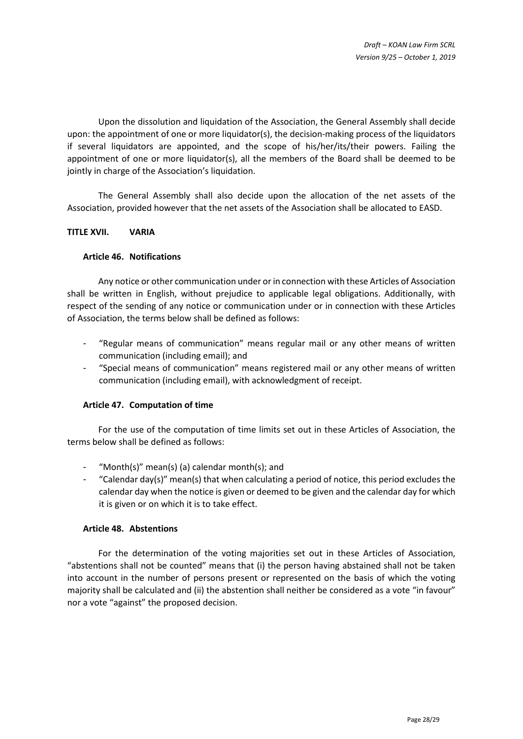Upon the dissolution and liquidation of the Association, the General Assembly shall decide upon: the appointment of one or more liquidator(s), the decision-making process of the liquidators if several liquidators are appointed, and the scope of his/her/its/their powers. Failing the appointment of one or more liquidator(s), all the members of the Board shall be deemed to be jointly in charge of the Association's liquidation.

The General Assembly shall also decide upon the allocation of the net assets of the Association, provided however that the net assets of the Association shall be allocated to EASD.

## **TITLE XVII. VARIA**

## **Article 46. Notifications**

Any notice or other communication under or in connection with these Articles of Association shall be written in English, without prejudice to applicable legal obligations. Additionally, with respect of the sending of any notice or communication under or in connection with these Articles of Association, the terms below shall be defined as follows:

- "Regular means of communication" means regular mail or any other means of written communication (including email); and
- "Special means of communication" means registered mail or any other means of written communication (including email), with acknowledgment of receipt.

## **Article 47. Computation of time**

For the use of the computation of time limits set out in these Articles of Association, the terms below shall be defined as follows:

- "Month(s)" mean(s) (a) calendar month(s); and
- "Calendar day(s)" mean(s) that when calculating a period of notice, this period excludes the calendar day when the notice is given or deemed to be given and the calendar day for which it is given or on which it is to take effect.

## **Article 48. Abstentions**

For the determination of the voting majorities set out in these Articles of Association, "abstentions shall not be counted" means that (i) the person having abstained shall not be taken into account in the number of persons present or represented on the basis of which the voting majority shall be calculated and (ii) the abstention shall neither be considered as a vote "in favour" nor a vote "against" the proposed decision.